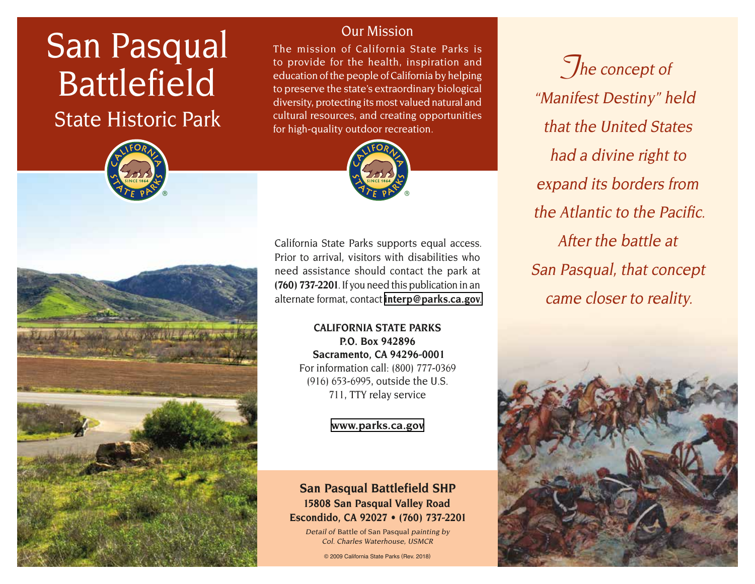# San Pasqual Battlefield

State Historic Park





Our Mission

The mission of California State Parks is to provide for the health, inspiration and education of the people of California by helping to preserve the state's extraordinary biological diversity, protecting its most valued natural and cultural resources, and creating opportunities for high-quality outdoor recreation.



California State Parks supports equal access. Prior to arrival, visitors with disabilities who need assistance should contact the park at **(760) 737-2201**. If you need this publication in an alternate format, contact **[interp@parks.ca.gov](mailto:interp@parks.ca.gov.)**.

> **CALIFORNIA STATE PARKS P.O. Box 942896 Sacramento, CA 94296-0001** For information call: (800) 777-0369 (916) 653-6995, outside the U.S. 711, TTY relay service

> > **[www.parks.ca.gov](http://www.parks.ca.gov)**

# **San Pasqual Battlefield SHP 15808 San Pasqual Valley Road Escondido, CA 92027 • (760) 737-2201**

Detail of Battle of San Pasqual painting by Col. Charles Waterhouse, USMCR

© 2009 California State Parks (Rev. 2018)

**The concept of** "Manifest Destiny" held that the United States had a divine right to expand its borders from the Atlantic to the Pacific. After the battle at San Pasqual, that concept came closer to reality.

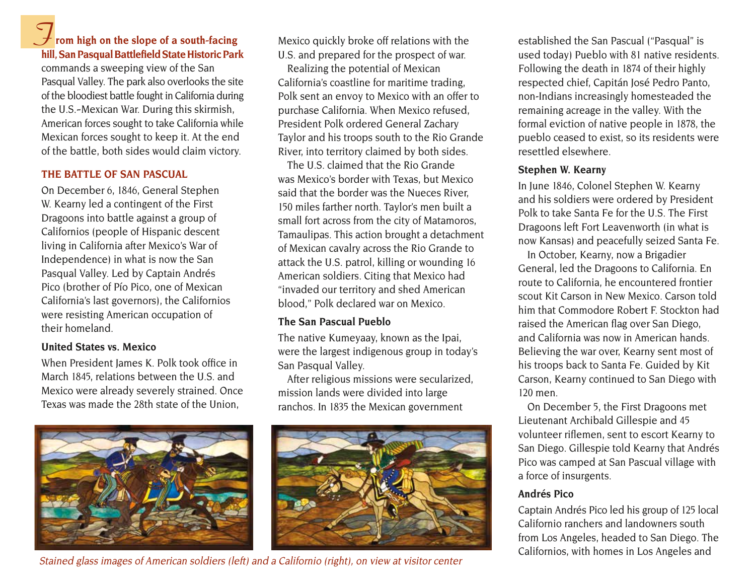# **F** rom high on the slope of a south-facing **hill, San Pasqual Battlefield State Historic Park**

commands a sweeping view of the San Pasqual Valley. The park also overlooks the site of the bloodiest battle fought in California during the U.S.-Mexican War. During this skirmish, American forces sought to take California while Mexican forces sought to keep it. At the end of the battle, both sides would claim victory.

# **THE BATTLE OF SAN PASCUAL**

On December 6, 1846, General Stephen W. Kearny led a contingent of the First Dragoons into battle against a group of Californios (people of Hispanic descent living in California after Mexico's War of Independence) in what is now the San Pasqual Valley. Led by Captain Andrés Pico (brother of Pío Pico, one of Mexican California's last governors), the Californios were resisting American occupation of their homeland.

# **United States vs. Mexico**

When President James K. Polk took office in March 1845, relations between the U.S. and Mexico were already severely strained. Once Texas was made the 28th state of the Union,



Mexico quickly broke off relations with the U.S. and prepared for the prospect of war.

Realizing the potential of Mexican California's coastline for maritime trading, Polk sent an envoy to Mexico with an offer to purchase California. When Mexico refused, President Polk ordered General Zachary Taylor and his troops south to the Rio Grande River, into territory claimed by both sides.

The U.S. claimed that the Rio Grande was Mexico's border with Texas, but Mexico said that the border was the Nueces River, 150 miles farther north. Taylor's men built a small fort across from the city of Matamoros, Tamaulipas. This action brought a detachment of Mexican cavalry across the Rio Grande to attack the U.S. patrol, killing or wounding 16 American soldiers. Citing that Mexico had "invaded our territory and shed American blood," Polk declared war on Mexico.

## **The San Pascual Pueblo**

The native Kumeyaay, known as the Ipai, were the largest indigenous group in today's San Pasqual Valley.

After religious missions were secularized, mission lands were divided into large ranchos. In 1835 the Mexican government



Californios, with homes in Los Angeles and Stained glass images of American soldiers (left) and a Californio (right), on view at visitor center

established the San Pascual ("Pasqual" is used today) Pueblo with 81 native residents. Following the death in 1874 of their highly respected chief, Capitán José Pedro Panto, non-Indians increasingly homesteaded the remaining acreage in the valley. With the formal eviction of native people in 1878, the pueblo ceased to exist, so its residents were resettled elsewhere.

## **Stephen W. Kearny**

In June 1846, Colonel Stephen W. Kearny and his soldiers were ordered by President Polk to take Santa Fe for the U.S. The First Dragoons left Fort Leavenworth (in what is now Kansas) and peacefully seized Santa Fe.

In October, Kearny, now a Brigadier General, led the Dragoons to California. En route to California, he encountered frontier scout Kit Carson in New Mexico. Carson told him that Commodore Robert F. Stockton had raised the American flag over San Diego, and California was now in American hands. Believing the war over, Kearny sent most of his troops back to Santa Fe. Guided by Kit Carson, Kearny continued to San Diego with 120 men.

On December 5, the First Dragoons met Lieutenant Archibald Gillespie and 45 volunteer riflemen, sent to escort Kearny to San Diego. Gillespie told Kearny that Andrés Pico was camped at San Pascual village with a force of insurgents.

# **Andrés Pico**

Captain Andrés Pico led his group of 125 local Californio ranchers and landowners south from Los Angeles, headed to San Diego. The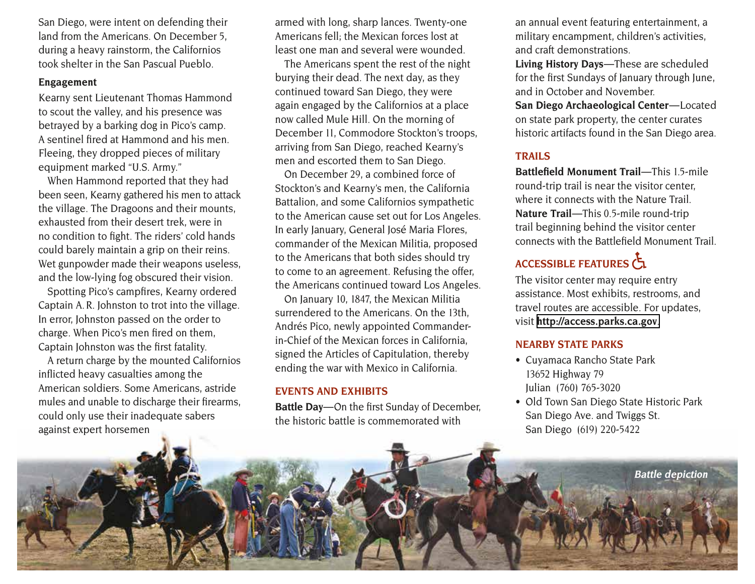San Diego, were intent on defending their land from the Americans. On December 5, during a heavy rainstorm, the Californios took shelter in the San Pascual Pueblo.

#### **Engagement**

Kearny sent Lieutenant Thomas Hammond to scout the valley, and his presence was betrayed by a barking dog in Pico's camp. A sentinel fired at Hammond and his men. Fleeing, they dropped pieces of military equipment marked "U.S. Army."

When Hammond reported that they had been seen, Kearny gathered his men to attack the village. The Dragoons and their mounts, exhausted from their desert trek, were in no condition to fight. The riders' cold hands could barely maintain a grip on their reins. Wet gunpowder made their weapons useless, and the low-lying fog obscured their vision.

Spotting Pico's campfires, Kearny ordered Captain A. R. Johnston to trot into the village. In error, Johnston passed on the order to charge. When Pico's men fired on them, Captain Johnston was the first fatality.

A return charge by the mounted Californios inflicted heavy casualties among the American soldiers. Some Americans, astride mules and unable to discharge their firearms, could only use their inadequate sabers against expert horsemen

armed with long, sharp lances. Twenty-one Americans fell; the Mexican forces lost at least one man and several were wounded.

The Americans spent the rest of the night burying their dead. The next day, as they continued toward San Diego, they were again engaged by the Californios at a place now called Mule Hill. On the morning of December 11, Commodore Stockton's troops, arriving from San Diego, reached Kearny's men and escorted them to San Diego.

On December 29, a combined force of Stockton's and Kearny's men, the California Battalion, and some Californios sympathetic to the American cause set out for Los Angeles. In early January, General José Maria Flores, commander of the Mexican Militia, proposed to the Americans that both sides should try to come to an agreement. Refusing the offer, the Americans continued toward Los Angeles.

On January 10, 1847, the Mexican Militia surrendered to the Americans. On the 13th, Andrés Pico, newly appointed Commanderin-Chief of the Mexican forces in California, signed the Articles of Capitulation, thereby ending the war with Mexico in California.

# **EVENTS AND EXHIBITS**

**Battle Day** — On the first Sunday of December, the historic battle is commemorated with

an annual event featuring entertainment, a military encampment, children's activities, and craft demonstrations.

Living History Days-These are scheduled for the first Sundays of January through June, and in October and November.

**San Diego Archaeological Center—Located** on state park property, the center curates historic artifacts found in the San Diego area.

## **TRAILS**

**Battlefield Monument Trail—This 1.5-mile** round-trip trail is near the visitor center, where it connects with the Nature Trail. **Nature Trail**—This 0.5-mile round-trip trail beginning behind the visitor center connects with the Battlefield Monument Trail.

# ACCESSIBLE FEATURES

The visitor center may require entry assistance. Most exhibits, restrooms, and travel routes are accessible. For updates, visit **[http://access.parks.ca.gov](http://access.parks.ca.gov.)**.

## **NEARBY STATE PARKS**

- Cuyamaca Rancho State Park 13652 Highway 79 Julian (760) 765-3020
- Old Town San Diego State Historic Park San Diego Ave. and Twiggs St. San Diego (619) 220-5422